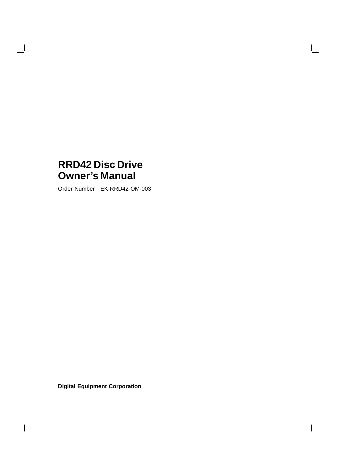## **RRD42 Disc Drive Owner's Manual**

 $\overline{\phantom{a}}$ 

 $\mathsf{l}$ 

Order Number EK-RRD42-OM-003

 $\mathbf{L}$ 

 $\Gamma$ 

**Digital Equipment Corporation**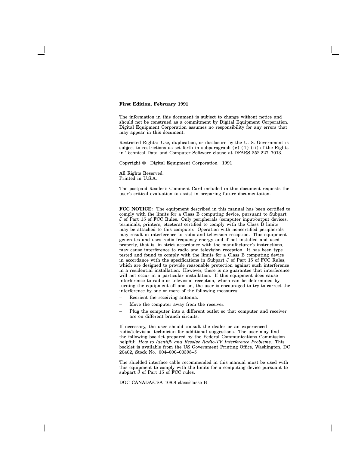#### **First Edition, February 1991**

The information in this document is subject to change without notice and should not be construed as a commitment by Digital Equipment Corporation. Digital Equipment Corporation assumes no responsibility for any errors that may appear in this document.

Restricted Rights: Use, duplication, or disclosure by the U. S. Government is subject to restrictions as set forth in subparagraph  $(c)$  (1) (ii) of the Rights in Technical Data and Computer Software clause at DFARS 252.227–7013.

Copyright © Digital Equipment Corporation 1991

All Rights Reserved. Printed in U.S.A.

The postpaid Reader's Comment Card included in this document requests the user's critical evaluation to assist in preparing future documentation.

**FCC NOTICE:** The equipment described in this manual has been certified to comply with the limits for a Class B computing device, pursuant to Subpart J of Part 15 of FCC Rules. Only peripherals (computer input/output devices, terminals, printers, etcetera) certified to comply with the Class B limits may be attached to this computer. Operation with noncertified peripherals may result in interference to radio and television reception. This equipment generates and uses radio frequency energy and if not installed and used properly, that is, in strict accordance with the manufacturer's instructions, may cause interference to radio and television reception. It has been type tested and found to comply with the limits for a Class B computing device in accordance with the specifications in Subpart J of Part 15 of FCC Rules, which are designed to provide reasonable protection against such interference in a residential installation. However, there is no guarantee that interference will not occur in a particular installation. If this equipment does cause interference to radio or television reception, which can be determined by turning the equipment off and on, the user is encouraged to try to correct the interference by one or more of the following measures:

- Reorient the receiving antenna.
- Move the computer away from the receiver.
- Plug the computer into a different outlet so that computer and receiver are on different branch circuits.

If necessary, the user should consult the dealer or an experienced radio/television technician for additional suggestions. The user may find the following booklet prepared by the Federal Communications Commission helpful: *How to Identify and Resolve Radio-TV Interference Problems*. This booklet is available from the US Government Printing Office, Washington, DC 20402, Stock No. 004–000–00398–5

The shielded interface cable recommended in this manual must be used with this equipment to comply with the limits for a computing device pursuant to subpart J of Part 15 of FCC rules.

DOC CANADA/CSA 108.8 class/classe B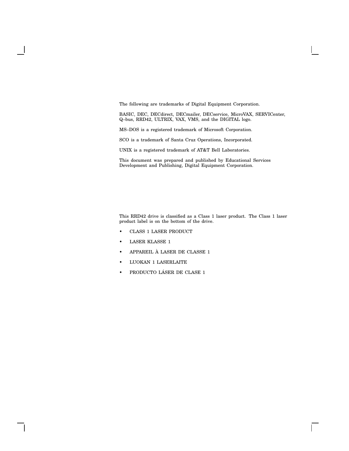The following are trademarks of Digital Equipment Corporation.

BASIC, DEC, DECdirect, DECmailer, DECservice, MicroVAX, SERVICenter, Q–bus, RRD42, ULTRIX, VAX, VMS, and the DIGITAL logo.

MS–DOS is a registered trademark of Microsoft Corporation.

SCO is a trademark of Santa Cruz Operations, Incorporated.

UNIX is a registered trademark of AT&T Bell Laboratories.

This document was prepared and published by Educational Services Development and Publishing, Digital Equipment Corporation.

This RRD42 drive is classified as a Class 1 laser product. The Class 1 laser product label is on the bottom of the drive.

 $\Box$ 

- CLASS 1 LASER PRODUCT
- LASER KLASSE 1
- APPAREIL À LASER DE CLASSE 1
- LUOKAN 1 LASERLAITE
- PRODUCTO LÁSER DE CLASE 1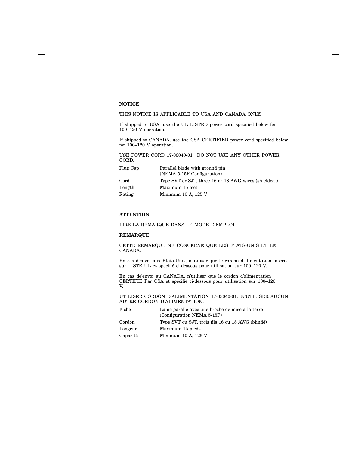### **NOTICE**

### THIS NOTICE IS APPLICABLE TO USA AND CANADA ONLY.

If shipped to USA, use the UL LISTED power cord specified below for  $100-120$  V operation.

If shipped to CANADA, use the CSA CERTIFIED power cord specified below for 100–120 V operation.

USE POWER CORD 17-03040-01. DO NOT USE ANY OTHER POWER CORD.

| Plug Cap      | Parallel blade with ground pin                       |
|---------------|------------------------------------------------------|
|               | (NEMA 5-15P Configuration)                           |
| $_{\rm Cord}$ | Type SVT or SJT, three 16 or 18 AWG wires (shielded) |
| Length        | Maximum 15 feet                                      |
| Rating        | Minimum 10 A, 125 V                                  |
|               |                                                      |

### **ATTENTION**

### LIRE LA REMARQUE DANS LE MODE D'EMPLOI

### **REMARQUE**

CETTE REMARQUE NE CONCERNE QUE LES ETATS-UNIS ET LE CANADA.

En cas d'envoi aux Etats-Unis, n'utiliser que le cordon d'alimentation inscrit sur LISTE UL et spécifié ci-dessous pour utilisation sur 100–120 V.

En cas de'envoi au CANADA, n'utiliser que le cordon d'alimentation CERTIFIE Par CSA et spécifié ci-dessous pour utilisation sur 100–120 V.

### UTILISER CORDON D'ALIMENTATION 17-03040-01. N'UTILISER AUCUN AUTRE CORDON D'ALIMENTATION.

| Fiche    | Lame parallé avec une broche de mise à la terre   |
|----------|---------------------------------------------------|
|          | (Configuration NEMA 5-15P)                        |
| Cordon   | Type SVT ou SJT, trois fils 16 ou 18 AWG (blindé) |
| Longeur  | Maximum 15 pieds                                  |
| Capacité | Minimum $10$ A, $125$ V                           |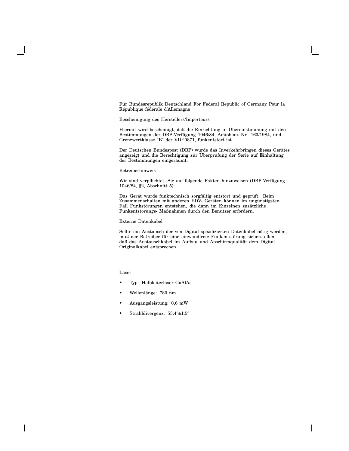Für Bundesrepublik Deutschland For Federal Republic of Germany Pour la République féderale d'Allemagne

### Bescheinigung des Herstellers/Importeurs

Hiermit wird bescheinigt, daß die Einrichtung in Übereinstimmung mit den Bestimmungen der DBP-Verfügung 1046/84, Amtsblatt Nr. 163/1984, und Grenzwertklasse "B" der VDE0871, funkentstört ist.

Der Deutschen Bundespost (DBP) wurde das Inverkehrbringen dieses Gerätes angezeigt und die Berechtigung zur Überprüfung der Serie auf Einhaltung der Bestimmungen eingeräumt.

#### Betreiberhinweis

Wir sind verpflichtet, Sie auf folgende Fakten hinzuweisen (DBP-Verfügung 1046/84, §2, Abschnitt 5):

Das Gerät wurde funktechnisch sorgfältig entstört und geprüft. Beim Zusammenschalten mit anderen EDV- Geräten können im ungünstigsten Fall Funkstörungen entstehen, die dann im Einzelnen zusätzliche Funkentstörungs- Maßnahmen durch den Benutzer erfordern.

#### Externe Datenkabel

Sollte ein Austausch der von Digital spezifizierten Datenkabel nötig werden, muß der Betreiber für eine einwandfreie Funkentstörung sicherstellen, daß das Austauschkabel im Aufbau und Abschirmqualität dem Digital Originalkabel entsprechen

Laser

- Typ: Halbleiterlaser GaAlAs
- Wellenlänge: 780 nm
- Ausgangsleistung: 0,6 mW
- Strahldivergenz: 53,4°±1,5°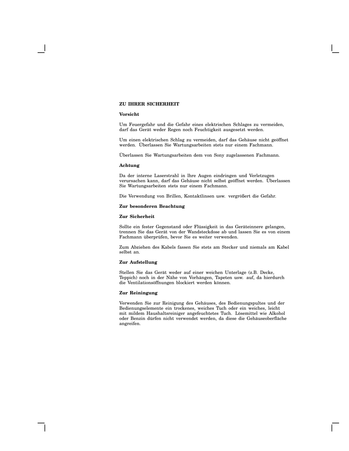### **ZU IHRER SICHERHEIT**

#### **Vorsicht**

Um Feuergefahr und die Gefahr eines elektrischen Schlages zu vermeiden, darf das Gerät weder Regen noch Feuchtigkeit ausgesetzt werden.

Um einen elektrischen Schlag zu vermeiden, darf das Gehäuse nicht geöffnet werden. Überlassen Sie Wartungsarbeiten stets nur einem Fachmann.

Überlassen Sie Wartungsarbeiten dem von Sony zugelassenen Fachmann.

#### **Achtung**

Da der interne Laserstrahl in lhre Augen eindringen und Verletzugen verursachen kann, darf das Gehäuse nicht selbst geöffnet werden. Überlassen Sie Wartungsarbeiten stets nur einem Fachmann.

Die Verwendung von Brillen, Kontaktlinsen usw. vergrößert die Gefahr.

### **Zur besonderen Beachtung**

#### **Zur Sicherheit**

Sollte ein fester Gegenstand oder Flüssigkeit in das Geräteinnere gelangen, trennen Sie das Gerät von der Wandsteckdose ab und lassen Sie es von einem Fachmann überprüfen, bevor Sie es weiter verwenden.

Zum Abziehen des Kabels fassen Sie stets am Stecker und niemals am Kabel selbst an.

#### **Zur Aufstellung**

Stellen Sie das Gerät weder auf einer weichen Unterlage (z.B. Decke, Teppich) noch in der Nähe von Vorhängen, Tapeten usw. auf, da hierdurch die Ventilationsöffnungen blockiert werden können.

### **Zur Reiningung**

Verwenden Sie zur Reinigung des Gehäuses, des Bedienungspultes und der Bedienungselemente ein trockenes, weiches Tuch oder ein weiches, leicht mit mildem Haushaltsreiniger angefeuchtetes Tuch. Lösemittel wie Alkohol oder Benzin dürfen nicht verwendet werden, da diese die Gehäuseoberfläche angreifen.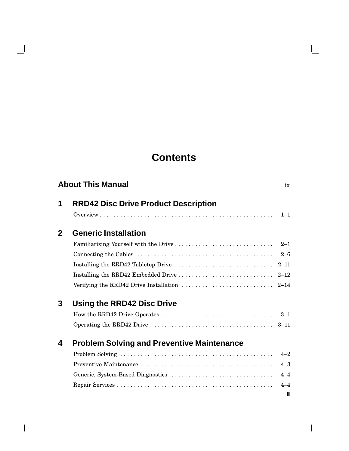## **Contents**

 $\mathbf{L}$ 

 $\Box$ 

 $\blacksquare$ 

|              | <b>About This Manual</b>                                                                              | ix             |
|--------------|-------------------------------------------------------------------------------------------------------|----------------|
| 1            | <b>RRD42 Disc Drive Product Description</b>                                                           |                |
|              |                                                                                                       | $1 - 1$        |
| $\mathbf{2}$ | <b>Generic Installation</b>                                                                           |                |
|              |                                                                                                       | $2 - 1$        |
|              |                                                                                                       | $2 - 6$        |
|              |                                                                                                       | $2 - 11$       |
|              |                                                                                                       |                |
|              | Verifying the RRD42 Drive Installation $\ldots \ldots \ldots \ldots \ldots \ldots \ldots \ldots$ 2-14 |                |
| 3            | Using the RRD42 Disc Drive                                                                            |                |
|              |                                                                                                       | $3 - 1$        |
|              |                                                                                                       |                |
| 4            | <b>Problem Solving and Preventive Maintenance</b>                                                     |                |
|              |                                                                                                       | $4 - 2$        |
|              |                                                                                                       | $4 - 3$        |
|              |                                                                                                       | $4 - 4$        |
|              |                                                                                                       | $4 - 4$<br>iii |
|              |                                                                                                       |                |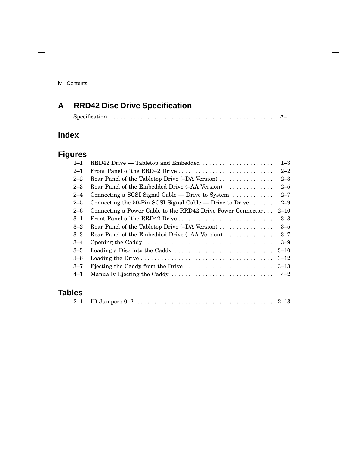iv Contents

 $\blacksquare$ 

## **A RRD42 Disc Drive Specification**

## **Index**

## **Figures**

| $1 - 1$ | RRD42 Drive — Tabletop and Embedded                                                   | $1 - 3$  |
|---------|---------------------------------------------------------------------------------------|----------|
| $2 - 1$ | Front Panel of the RRD42 Drive                                                        | $2 - 2$  |
| $2 - 2$ | Rear Panel of the Tabletop Drive (-DA Version)                                        | $2 - 3$  |
| $2 - 3$ | Rear Panel of the Embedded Drive (-AA Version)                                        | $2 - 5$  |
| $2 - 4$ | Connecting a SCSI Signal Cable — Drive to System $\dots\dots\dots\dots$               | $2 - 7$  |
| $2 - 5$ | Connecting the 50-Pin SCSI Signal Cable — Drive to Drive $\dots \dots$                | $2 - 9$  |
| $2 - 6$ | Connecting a Power Cable to the RRD42 Drive Power Connector                           | $2 - 10$ |
| $3 - 1$ | Front Panel of the RRD42 Drive                                                        | $3 - 3$  |
| $3 - 2$ | Rear Panel of the Tabletop Drive (-DA Version)                                        | $3 - 5$  |
| $3 - 3$ | Rear Panel of the Embedded Drive (-AA Version)                                        | $3 - 7$  |
| $3 - 4$ |                                                                                       | $3 - 9$  |
| $3 - 5$ | Loading a Disc into the Caddy $\dots \dots \dots \dots \dots \dots \dots \dots \dots$ | $3 - 10$ |
| $3 - 6$ |                                                                                       | $3 - 12$ |
| $3 - 7$ | Ejecting the Caddy from the Drive $\dots \dots \dots \dots \dots \dots \dots \dots$   | $3 - 13$ |
| $4 - 1$ |                                                                                       | $4 - 2$  |
|         |                                                                                       |          |

## **Tables**

 $\overline{\phantom{a}}$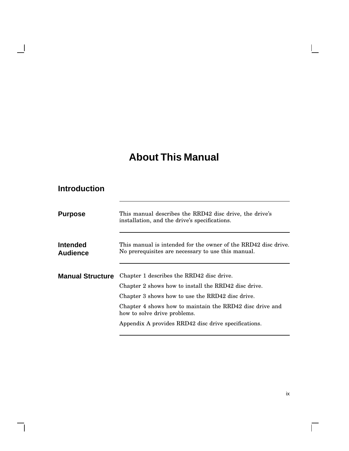## **About This Manual**

### **Introduction**

 $\blacksquare$ 

 $\overline{\phantom{a}}$ 

| <b>Purpose</b>          | This manual describes the RRD42 disc drive, the drive's<br>installation, and the drive's specifications.                                                                                                          |
|-------------------------|-------------------------------------------------------------------------------------------------------------------------------------------------------------------------------------------------------------------|
| Intended<br>Audience    | This manual is intended for the owner of the RRD42 disc drive.<br>No prerequisites are necessary to use this manual.                                                                                              |
| <b>Manual Structure</b> | Chapter 1 describes the RRD42 disc drive.<br>Chapter 2 shows how to install the RRD42 disc drive.<br>Chapter 3 shows how to use the RRD42 disc drive.<br>Chapter 4 shows how to maintain the RRD42 disc drive and |
|                         | how to solve drive problems.<br>Appendix A provides RRD42 disc drive specifications.                                                                                                                              |

 $\overline{\Gamma}$ 

 $\mathbf{L}$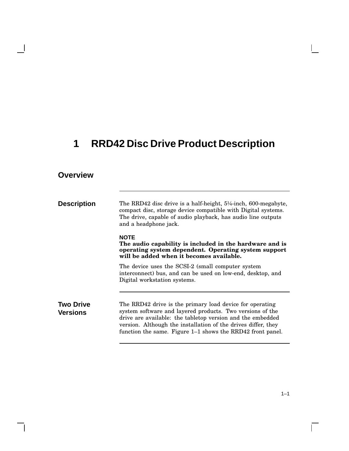# **1 RRD42 Disc Drive Product Description**

## **Overview**

 $\blacksquare$ 

| <b>Description</b>                  | The RRD42 disc drive is a half-height, $5\frac{1}{4}$ -inch, 600-megabyte,<br>compact disc, storage device compatible with Digital systems.<br>The drive, capable of audio playback, has audio line outputs<br>and a headphone jack.                                                                               |
|-------------------------------------|--------------------------------------------------------------------------------------------------------------------------------------------------------------------------------------------------------------------------------------------------------------------------------------------------------------------|
|                                     | <b>NOTE</b><br>The audio capability is included in the hardware and is<br>operating system dependent. Operating system support<br>will be added when it becomes available.                                                                                                                                         |
|                                     | The device uses the SCSI-2 (small computer system<br>interconnect) bus, and can be used on low-end, desktop, and<br>Digital workstation systems.                                                                                                                                                                   |
| <b>Two Drive</b><br><b>Versions</b> | The RRD42 drive is the primary load device for operating<br>system software and layered products. Two versions of the<br>drive are available: the tabletop version and the embedded<br>version. Although the installation of the drives differ, they<br>function the same. Figure 1–1 shows the RRD42 front panel. |

 $1 - 1$ 

 $\Box$ 

 $\mathbf{L}$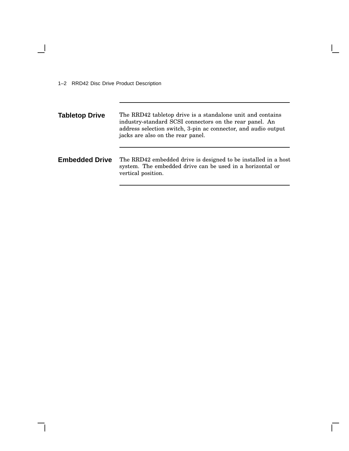1–2 RRD42 Disc Drive Product Description

 $\overline{\phantom{a}}$ 

**Tabletop Drive** The RRD42 tabletop drive is a standalone unit and contains industry-standard SCSI connectors on the rear panel. An address selection switch, 3-pin ac connector, and audio output jacks are also on the rear panel. **Embedded Drive** The RRD42 embedded drive is designed to be installed in a host system. The embedded drive can be used in a horizontal or vertical position.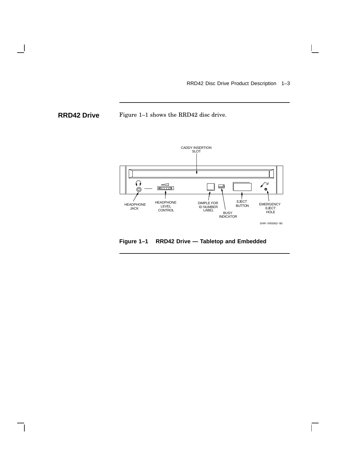RRD42 Disc Drive Product Description 1–3

 $\overline{\Gamma}$ 

**RRD42 Drive** Figure 1–1 shows the RRD42 disc drive.



**Figure 1–1 RRD42 Drive — Tabletop and Embedded**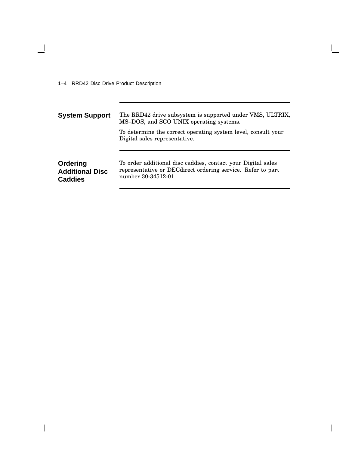1–4 RRD42 Disc Drive Product Description

 $\overline{\phantom{0}}$ 

| <b>System Support</b>                                | The RRD42 drive subsystem is supported under VMS, ULTRIX,<br>MS-DOS, and SCO UNIX operating systems.                                                |
|------------------------------------------------------|-----------------------------------------------------------------------------------------------------------------------------------------------------|
|                                                      | To determine the correct operating system level, consult your<br>Digital sales representative.                                                      |
| Ordering<br><b>Additional Disc</b><br><b>Caddies</b> | To order additional disc caddies, contact your Digital sales<br>representative or DEC direct ordering service. Refer to part<br>number 30-34512-01. |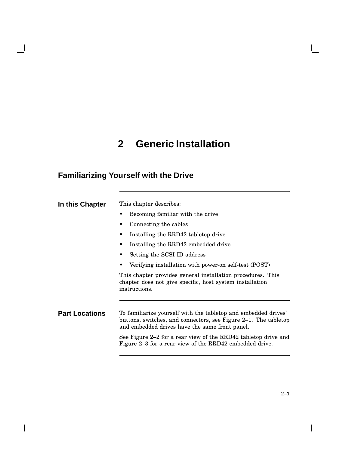# **2 Generic Installation**

## **Familiarizing Yourself with the Drive**

 $\overline{\phantom{0}}$ 

 $\mathsf{l}$ 

| In this Chapter       | This chapter describes:                                                                                                                                                             |
|-----------------------|-------------------------------------------------------------------------------------------------------------------------------------------------------------------------------------|
|                       | Becoming familiar with the drive                                                                                                                                                    |
|                       | Connecting the cables                                                                                                                                                               |
|                       | Installing the RRD42 tabletop drive                                                                                                                                                 |
|                       | Installing the RRD42 embedded drive                                                                                                                                                 |
|                       | Setting the SCSI ID address                                                                                                                                                         |
|                       | Verifying installation with power-on self-test (POST)                                                                                                                               |
|                       | This chapter provides general installation procedures. This<br>chapter does not give specific, host system installation<br>instructions.                                            |
|                       |                                                                                                                                                                                     |
| <b>Part Locations</b> | To familiarize yourself with the tabletop and embedded drives'<br>buttons, switches, and connectors, see Figure 2–1. The tabletop<br>and embedded drives have the same front panel. |
|                       | See Figure 2–2 for a rear view of the RRD42 tabletop drive and<br>Figure 2–3 for a rear view of the RRD42 embedded drive.                                                           |

 $\Gamma$ 

 $\mathbf{L}$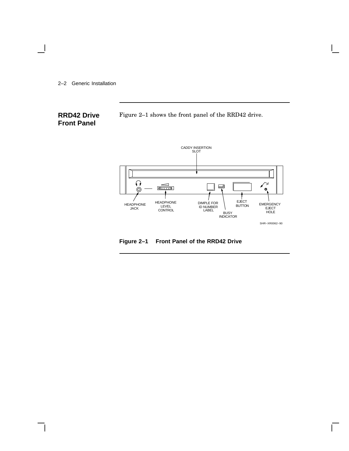2–2 Generic Installation

 $\overline{\phantom{a}}$ 

### **RRD42 Drive Front Panel**

Figure 2–1 shows the front panel of the RRD42 drive.



**Figure 2–1 Front Panel of the RRD42 Drive**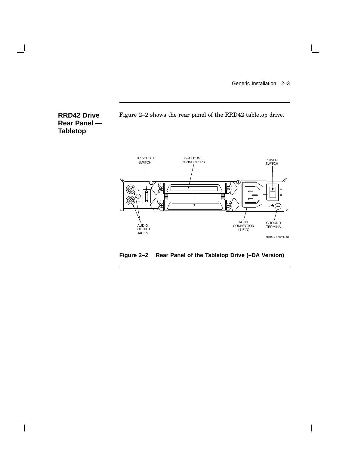$\overline{\Gamma}$ 



Figure 2–2 shows the rear panel of the RRD42 tabletop drive.



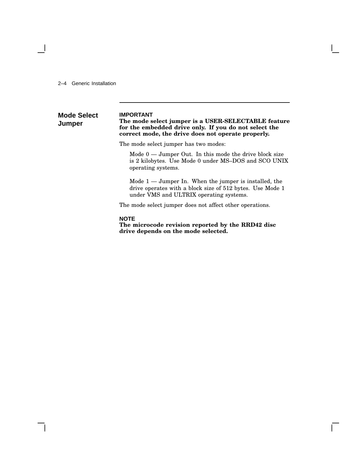2–4 Generic Installation

#### **Mode Select Jumper IMPORTANT The mode select jumper is a USER-SELECTABLE feature for the embedded drive only. If you do not select the correct mode, the drive does not operate properly.**

The mode select jumper has two modes:

Mode  $0 -$  Jumper Out. In this mode the drive block size is 2 kilobytes. Use Mode 0 under MS–DOS and SCO UNIX operating systems.

Mode 1 — Jumper In. When the jumper is installed, the drive operates with a block size of 512 bytes. Use Mode 1 under VMS and ULTRIX operating systems.

The mode select jumper does not affect other operations.

### **NOTE**

**The microcode revision reported by the RRD42 disc drive depends on the mode selected.**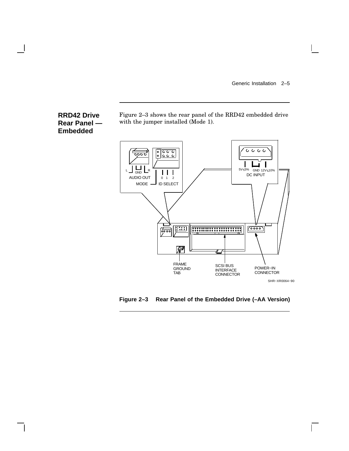$\mathbf{L}$ 

### **RRD42 Drive Rear Panel — Embedded**

Figure 2–3 shows the rear panel of the RRD42 embedded drive with the jumper installed (Mode 1).



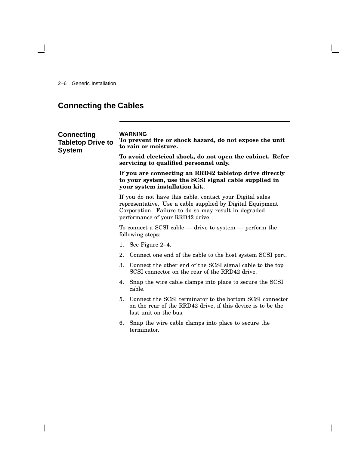2–6 Generic Installation

 $\overline{\phantom{0}}$ 

## **Connecting the Cables**

| <b>Connecting</b><br><b>Tabletop Drive to</b><br><b>System</b> | <b>WARNING</b><br>To prevent fire or shock hazard, do not expose the unit<br>to rain or moisture.                                                                                                                  |
|----------------------------------------------------------------|--------------------------------------------------------------------------------------------------------------------------------------------------------------------------------------------------------------------|
|                                                                | To avoid electrical shock, do not open the cabinet. Refer<br>servicing to qualified personnel only.                                                                                                                |
|                                                                | If you are connecting an RRD42 tabletop drive directly<br>to your system, use the SCSI signal cable supplied in<br>your system installation kit                                                                    |
|                                                                | If you do not have this cable, contact your Digital sales<br>representative. Use a cable supplied by Digital Equipment<br>Corporation. Failure to do so may result in degraded<br>performance of your RRD42 drive. |
|                                                                | To connect a SCSI cable $-$ drive to system $-$ perform the<br>following steps:                                                                                                                                    |
|                                                                | 1. See Figure $2-4$ .                                                                                                                                                                                              |
|                                                                | Connect one end of the cable to the host system SCSI port.<br>$2_{-}$                                                                                                                                              |
|                                                                | 3.<br>Connect the other end of the SCSI signal cable to the top<br>SCSI connector on the rear of the RRD42 drive.                                                                                                  |
|                                                                | Snap the wire cable clamps into place to secure the SCSI<br>4.<br>cable.                                                                                                                                           |
|                                                                | 5. Connect the SCSI terminator to the bottom SCSI connector<br>on the rear of the RRD42 drive, if this device is to be the<br>last unit on the bus.                                                                |
|                                                                | 6. Snap the wire cable clamps into place to secure the<br>terminator.                                                                                                                                              |
|                                                                |                                                                                                                                                                                                                    |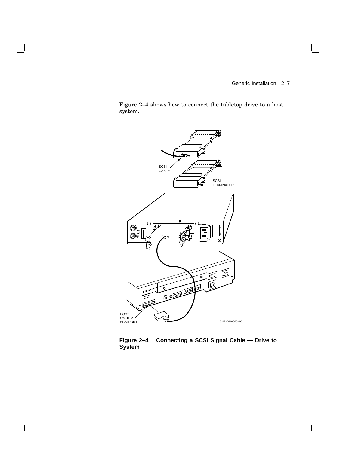$\overline{\Gamma}$ 

Figure 2–4 shows how to connect the tabletop drive to a host system.



**Figure 2–4 Connecting a SCSI Signal Cable — Drive to System**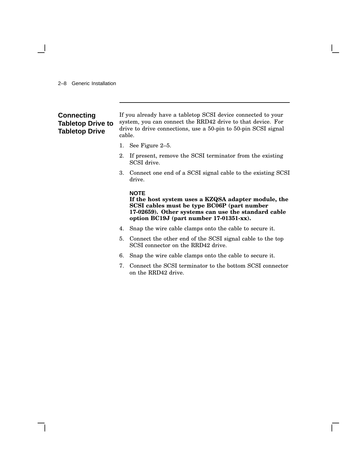### 2–8 Generic Installation

### **Connecting Tabletop Drive to Tabletop Drive**

If you already have a tabletop SCSI device connected to your system, you can connect the RRD42 drive to that device. For drive to drive connections, use a 50-pin to 50-pin SCSI signal cable.

- 1. See Figure 2–5.
- 2. If present, remove the SCSI terminator from the existing SCSI drive.
- 3. Connect one end of a SCSI signal cable to the existing SCSI drive.

### **NOTE**

**If the host system uses a KZQSA adapter module, the SCSI cables must be type BC06P (part number 17-02659). Other systems can use the standard cable option BC19J (part number 17-01351-xx).**

- 4. Snap the wire cable clamps onto the cable to secure it.
- 5. Connect the other end of the SCSI signal cable to the top SCSI connector on the RRD42 drive.
- 6. Snap the wire cable clamps onto the cable to secure it.
- 7. Connect the SCSI terminator to the bottom SCSI connector on the RRD42 drive.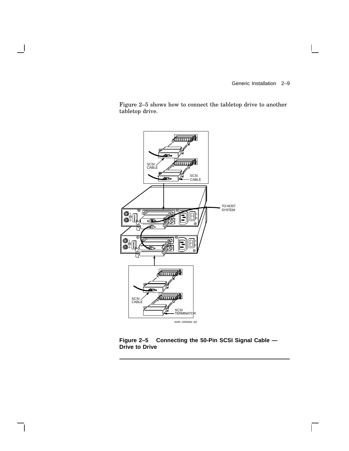$\overline{\Gamma}$ 

Figure 2–5 shows how to connect the tabletop drive to another tabletop drive.



**Figure 2–5 Connecting the 50-Pin SCSI Signal Cable — Drive to Drive**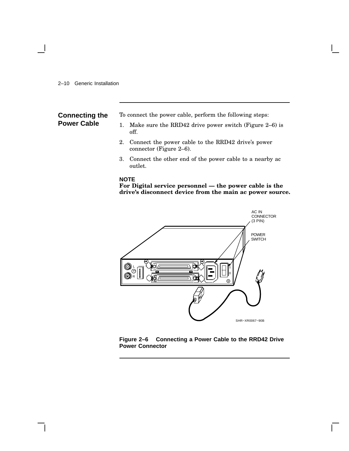### 2–10 Generic Installation

### **Connecting the Power Cable**

To connect the power cable, perform the following steps:

- 1. Make sure the RRD42 drive power switch (Figure 2–6) is off.
- 2. Connect the power cable to the RRD42 drive's power connector (Figure 2–6).
- 3. Connect the other end of the power cable to a nearby ac outlet.

### **NOTE**

**For Digital service personnel — the power cable is the drive's disconnect device from the main ac power source.**



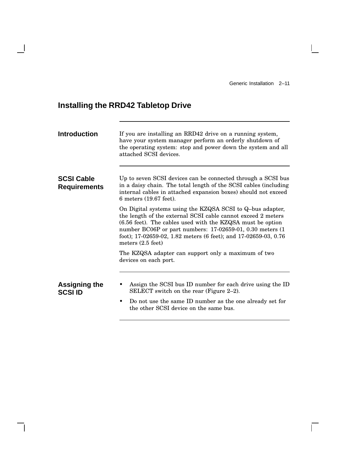$\mathbf{I}$ 

 $\Gamma$ 

## **Installing the RRD42 Tabletop Drive**

 $\overline{\phantom{a}}$ 

| <b>Introduction</b>                      | If you are installing an RRD42 drive on a running system,<br>have your system manager perform an orderly shutdown of<br>the operating system: stop and power down the system and all<br>attached SCSI devices.                                                                                                                                         |
|------------------------------------------|--------------------------------------------------------------------------------------------------------------------------------------------------------------------------------------------------------------------------------------------------------------------------------------------------------------------------------------------------------|
| <b>SCSI Cable</b><br><b>Requirements</b> | Up to seven SCSI devices can be connected through a SCSI bus<br>in a daisy chain. The total length of the SCSI cables (including<br>internal cables in attached expansion boxes) should not exceed<br>6 meters (19.67 feet).                                                                                                                           |
|                                          | On Digital systems using the KZQSA SCSI to Q-bus adapter,<br>the length of the external SCSI cable cannot exceed 2 meters<br>(6.56 feet). The cables used with the KZQSA must be option<br>number BC06P or part numbers: 17-02659-01, 0.30 meters (1<br>foot); 17-02659-02, 1.82 meters (6 feet); and 17-02659-03, 0.76<br>meters $(2.5 \text{ feet})$ |
|                                          | The KZQSA adapter can support only a maximum of two<br>devices on each port.                                                                                                                                                                                                                                                                           |
| <b>Assigning the</b><br><b>SCSI ID</b>   | Assign the SCSI bus ID number for each drive using the ID<br>SELECT switch on the rear (Figure 2–2).<br>Do not use the same ID number as the one already set for<br>٠<br>the other SCSI device on the same bus.                                                                                                                                        |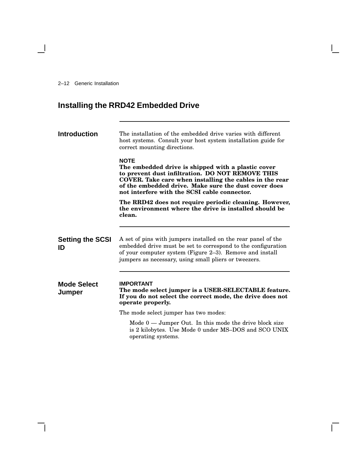2–12 Generic Installation

 $\overline{\phantom{a}}$ 

## **Installing the RRD42 Embedded Drive**

| <b>Introduction</b>           | The installation of the embedded drive varies with different<br>host systems. Consult your host system installation guide for<br>correct mounting directions.                                                                                                                            |
|-------------------------------|------------------------------------------------------------------------------------------------------------------------------------------------------------------------------------------------------------------------------------------------------------------------------------------|
|                               | <b>NOTE</b><br>The embedded drive is shipped with a plastic cover<br>to prevent dust infiltration. DO NOT REMOVE THIS<br>COVER. Take care when installing the cables in the rear<br>of the embedded drive. Make sure the dust cover does<br>not interfere with the SCSI cable connector. |
|                               | The RRD42 does not require periodic cleaning. However,<br>the environment where the drive is installed should be<br>clean.                                                                                                                                                               |
| <b>Setting the SCSI</b><br>ID | A set of pins with jumpers installed on the rear panel of the<br>embedded drive must be set to correspond to the configuration<br>of your computer system (Figure 2–3). Remove and install<br>jumpers as necessary, using small pliers or tweezers.                                      |
| <b>Mode Select</b><br>Jumper  | <b>IMPORTANT</b><br>The mode select jumper is a USER-SELECTABLE feature.<br>If you do not select the correct mode, the drive does not<br>operate properly.                                                                                                                               |
|                               | The mode select jumper has two modes:                                                                                                                                                                                                                                                    |
|                               | Mode $0$ — Jumper Out. In this mode the drive block size<br>is 2 kilobytes. Use Mode 0 under MS-DOS and SCO UNIX<br>operating systems.                                                                                                                                                   |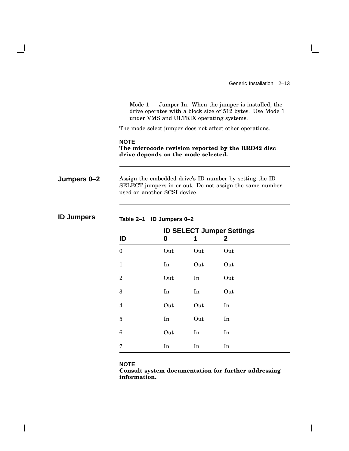Generic Installation 2–13

 $\mathbf{L}$ 

Mode  $1 -$  Jumper In. When the jumper is installed, the drive operates with a block size of 512 bytes. Use Mode 1 under VMS and ULTRIX operating systems.

The mode select jumper does not affect other operations.

**NOTE The microcode revision reported by the RRD42 disc drive depends on the mode selected.**

**Jumpers 0–2** Assign the embedded drive's ID number by setting the ID SELECT jumpers in or out. Do not assign the same number used on another SCSI device.

| <b>ID SELECT Jumper Settings</b> |     |     |              |  |
|----------------------------------|-----|-----|--------------|--|
| ID                               | 0   | 1   | $\mathbf{2}$ |  |
| $\mathbf{0}$                     | Out | Out | Out          |  |
| $\mathbf{1}$                     | In  | Out | Out          |  |
| $\overline{2}$                   | Out | In  | Out          |  |
| 3                                | In  | In  | Out          |  |
| $\overline{4}$                   | Out | Out | In           |  |
| $\bf 5$                          | In  | Out | In           |  |
| $\boldsymbol{6}$                 | Out | In  | In           |  |
| 7                                | In  | In  | In           |  |

**ID Jumpers Table 2–1 ID Jumpers 0–2**

### **NOTE**

**Consult system documentation for further addressing information.**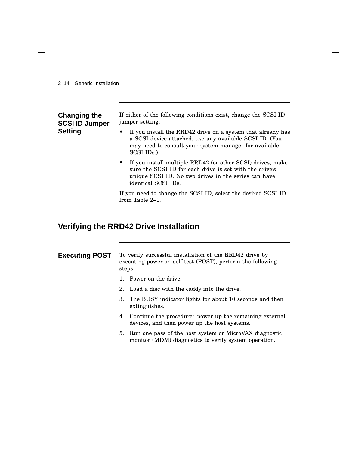### 2–14 Generic Installation

| Changing the<br><b>SCSI ID Jumper</b> | If either of the following conditions exist, change the SCSI ID<br>jumper setting:                                                                                                                                |  |
|---------------------------------------|-------------------------------------------------------------------------------------------------------------------------------------------------------------------------------------------------------------------|--|
| Setting                               | If you install the RRD42 drive on a system that already has<br>a SCSI device attached, use any available SCSI ID. (You<br>may need to consult your system manager for available<br>SCSI IDs.)                     |  |
|                                       | If you install multiple RRD42 (or other SCSI) drives, make<br>$\bullet$<br>sure the SCSI ID for each drive is set with the drive's<br>unique SCSI ID. No two drives in the series can have<br>identical SCSI IDs. |  |
|                                       | If you need to change the SCSI ID, select the desired SCSI ID<br>from Table 2–1.                                                                                                                                  |  |

## **Verifying the RRD42 Drive Installation**

| <b>Executing POST</b> | To verify successful installation of the RRD42 drive by    |
|-----------------------|------------------------------------------------------------|
|                       | executing power-on self-test (POST), perform the following |
|                       | steps:                                                     |

- 1. Power on the drive.
- 2. Load a disc with the caddy into the drive.
- 3. The BUSY indicator lights for about 10 seconds and then extinguishes.
- 4. Continue the procedure: power up the remaining external devices, and then power up the host systems.
- 5. Run one pass of the host system or MicroVAX diagnostic monitor (MDM) diagnostics to verify system operation.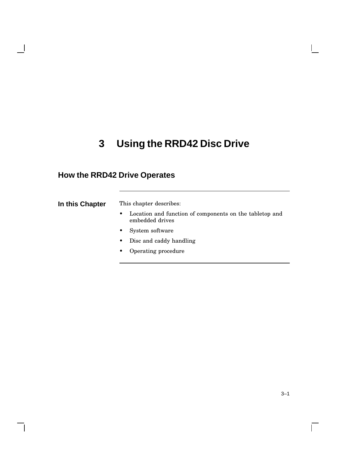## **3 Using the RRD42 Disc Drive**

## **How the RRD42 Drive Operates**

**In this Chapter** This chapter describes:

- Location and function of components on the tabletop and embedded drives
- System software
- Disc and caddy handling
- Operating procedure

 $\Gamma$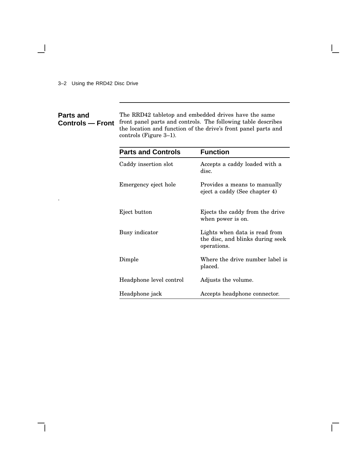3–2 Using the RRD42 Disc Drive

.

 $\overline{\phantom{a}}$ 

 $\overline{\phantom{a}}$ 

### **Parts and Controls — Front** front panel parts and controls. The following table describes The RRD42 tabletop and embedded drives have the same the location and function of the drive's front panel parts and controls (Figure 3–1).

| <b>Parts and Controls</b> | <b>Function</b>                                                                  |
|---------------------------|----------------------------------------------------------------------------------|
| Caddy insertion slot      | Accepts a caddy loaded with a<br>disc.                                           |
| Emergency eject hole      | Provides a means to manually<br>eject a caddy (See chapter 4)                    |
| Eject button              | Ejects the caddy from the drive<br>when power is on.                             |
| Busy indicator            | Lights when data is read from<br>the disc, and blinks during seek<br>operations. |
| Dimple                    | Where the drive number label is<br>placed.                                       |
| Headphone level control   | Adjusts the volume.                                                              |
| Headphone jack            | Accepts headphone connector.                                                     |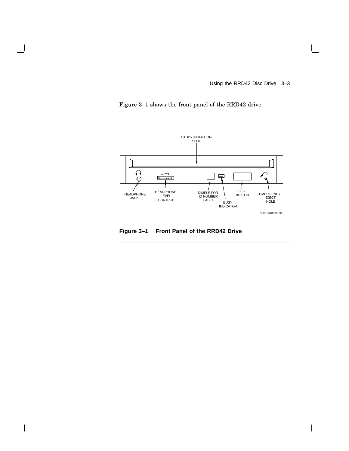Using the RRD42 Disc Drive 3–3

 $\mathbf{L}$ 

 $\overline{\Gamma}$ 

Figure 3–1 shows the front panel of the RRD42 drive.



**Figure 3–1 Front Panel of the RRD42 Drive**

 $\mathsf{l}$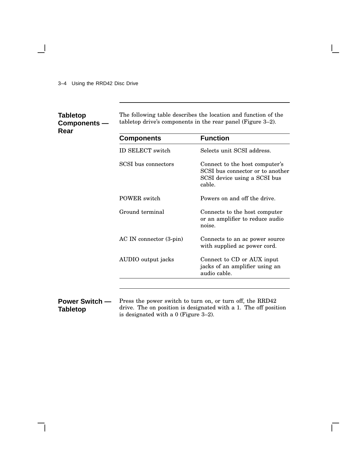3–4 Using the RRD42 Disc Drive

### **Tabletop Components — Rear**

 $\overline{\phantom{a}}$ 

 $\overline{\phantom{a}}$ 

The following table describes the location and function of the tabletop drive's components in the rear panel (Figure 3–2).

| <b>Components</b>       | <b>Function</b>                                                                                             |
|-------------------------|-------------------------------------------------------------------------------------------------------------|
| ID SELECT switch        | Selects unit SCSI address.                                                                                  |
| SCSI bus connectors     | Connect to the host computer's<br>SCSI bus connector or to another<br>SCSI device using a SCSI bus<br>cable |
| <b>POWER</b> switch     | Powers on and off the drive.                                                                                |
| Ground terminal         | Connects to the host computer<br>or an amplifier to reduce audio<br>noise.                                  |
| AC IN connector (3-pin) | Connects to an ac power source<br>with supplied ac power cord.                                              |
| AUDIO output jacks      | Connect to CD or AUX input<br>jacks of an amplifier using an<br>audio cable.                                |

**Power Switch — Tabletop** Press the power switch to turn on, or turn off, the RRD42 drive. The on position is designated with a 1. The off position is designated with a 0 (Figure 3–2).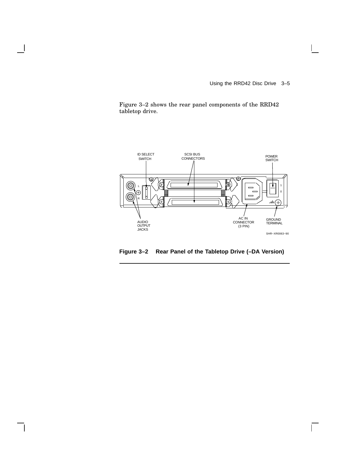Using the RRD42 Disc Drive 3–5

 $\mathsf{I}$ 

 $\overline{\Gamma}$ 

Figure 3–2 shows the rear panel components of the RRD42 tabletop drive.

 $\mathsf{l}$ 

 $\mathsf{l}$ 



**Figure 3–2 Rear Panel of the Tabletop Drive (–DA Version)**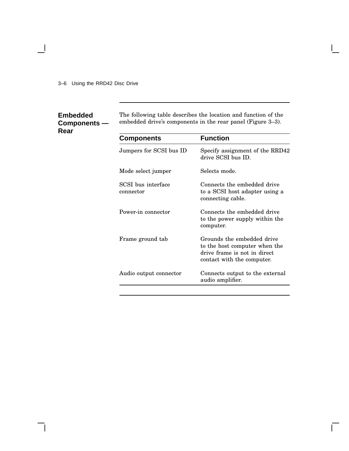3–6 Using the RRD42 Disc Drive

### **Embedded Components — Rear**

 $\overline{\phantom{a}}$ 

 $\overline{\phantom{a}}$ 

The following table describes the location and function of the embedded drive's components in the rear panel (Figure 3–3).

| <b>Components</b>               | <b>Function</b>                                                                                                           |
|---------------------------------|---------------------------------------------------------------------------------------------------------------------------|
| Jumpers for SCSI bus ID         | Specify assignment of the RRD42<br>drive SCSI bus ID.                                                                     |
| Mode select jumper              | Selects mode.                                                                                                             |
| SCSI bus interface<br>connector | Connects the embedded drive<br>to a SCSI host adapter using a<br>connecting cable.                                        |
| Power-in connector              | Connects the embedded drive<br>to the power supply within the<br>computer.                                                |
| Frame ground tab                | Grounds the embedded drive<br>to the host computer when the<br>drive frame is not in direct<br>contact with the computer. |
| Audio output connector          | Connects output to the external<br>audio amplifier.                                                                       |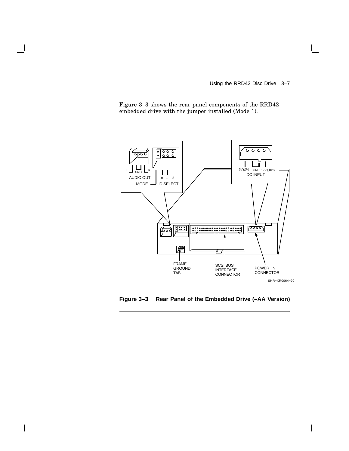Using the RRD42 Disc Drive 3–7

 $\overline{\Gamma}$ 

Figure 3–3 shows the rear panel components of the RRD42 embedded drive with the jumper installed (Mode 1).



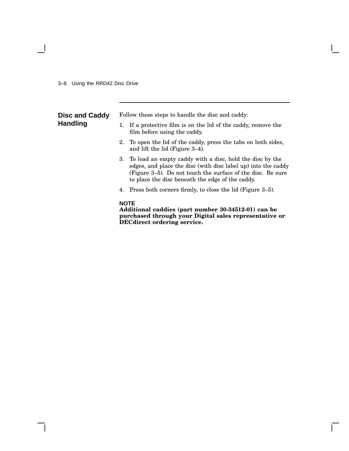$\overline{\phantom{a}}$ 

| <b>Disc and Caddy</b><br><b>Handling</b> | Follow these steps to handle the disc and caddy: |                                                                                                                                                                                                                                                 |  |  |
|------------------------------------------|--------------------------------------------------|-------------------------------------------------------------------------------------------------------------------------------------------------------------------------------------------------------------------------------------------------|--|--|
|                                          | 1.                                               | If a protective film is on the lid of the caddy, remove the<br>film before using the caddy.                                                                                                                                                     |  |  |
|                                          |                                                  | 2. To open the lid of the caddy, press the tabs on both sides,<br>and lift the lid (Figure 3–4).                                                                                                                                                |  |  |
|                                          |                                                  | 3. To load an empty caddy with a disc, hold the disc by the<br>edges, and place the disc (with disc label up) into the caddy<br>(Figure 3–5). Do not touch the surface of the disc. Be sure<br>to place the disc beneath the edge of the caddy. |  |  |
|                                          |                                                  | 4. Press both corners firmly, to close the lid (Figure 3–5).                                                                                                                                                                                    |  |  |
|                                          |                                                  | <b>NOTE</b><br>Additional caddies (part number 30-34512-01) can be<br>purchased through your Digital sales representative or                                                                                                                    |  |  |

**DECdirect ordering service.**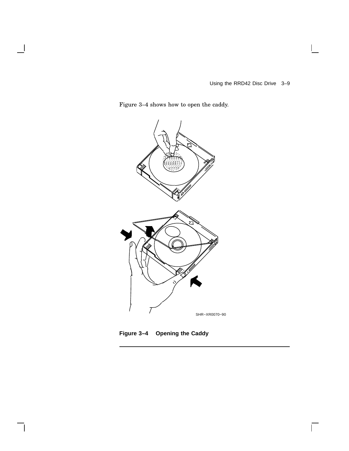$\overline{\Gamma}$ 

Figure 3–4 shows how to open the caddy.

 $\overline{\phantom{a}}$ 

 $\mathbf l$ 



**Figure 3–4 Opening the Caddy**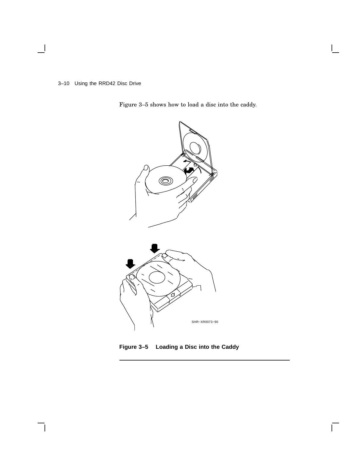3–10 Using the RRD42 Disc Drive

 $\overline{\phantom{a}}$ 

Figure 3–5 shows how to load a disc into the caddy.



**Figure 3–5 Loading a Disc into the Caddy**